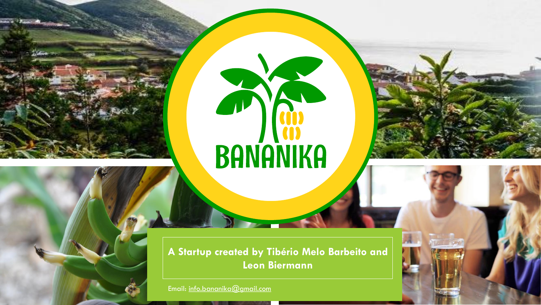



**A Startup created by Tibério Melo Barbeito and Leon Biermann**

Email: [info.bananika@gmail.com](mailto:info.bananika@gmail.com)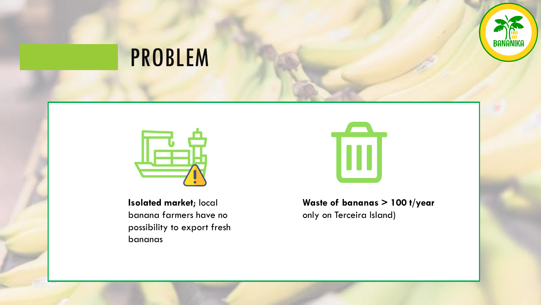

### PROBLEM



**Isolated market**; local banana farmers have no possibility to export fresh bananas



#### **Waste of bananas > 100 t/year**  only on Terceira Island)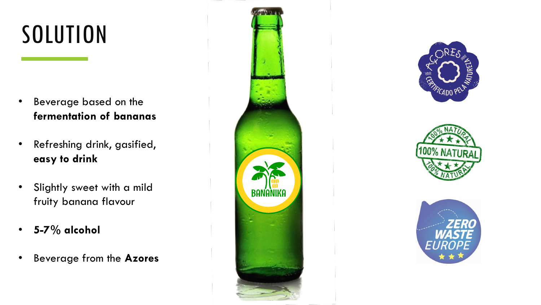# SOLUTION

- Beverage based on the **fermentation of bananas**
- Refreshing drink, gasified, **easy to drink**
- Slightly sweet with a mild fruity banana flavour
- **5-7% alcohol**
- Beverage from the **Azores**







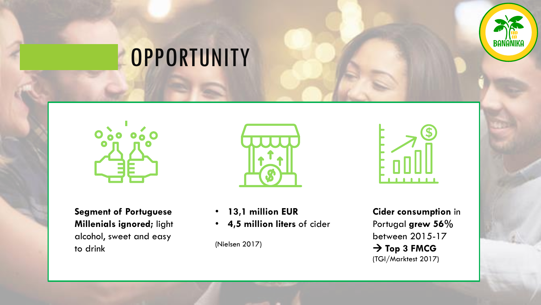

### **OPPORTUNITY**



**Segment of Portuguese Millenials ignored;** light alcohol, sweet and easy to drink



- **13,1 million EUR**
- **4,5 million liters** of cider

(Nielsen 2017)



**Cider consumption** in Portugal **grew 56%**  between 2015-17 → **Top 3 FMCG** (TGI/Marktest 2017)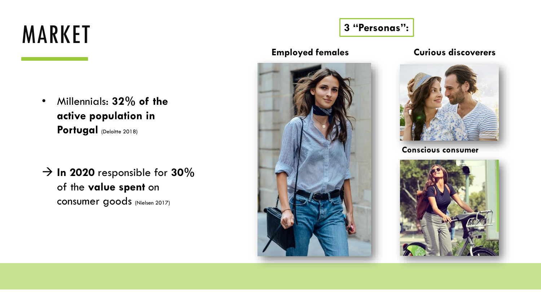### MARKET

- Millennials: **32% of the active population in**  Portugal (Deloitte 2018)
- $\rightarrow$  **In 2020** responsible for 30% of the **value spent** on consumer goods (Nielsen 2017)

#### **3 "Personas":**





#### **Employed females Curious discoverers**



**Conscious consumer**

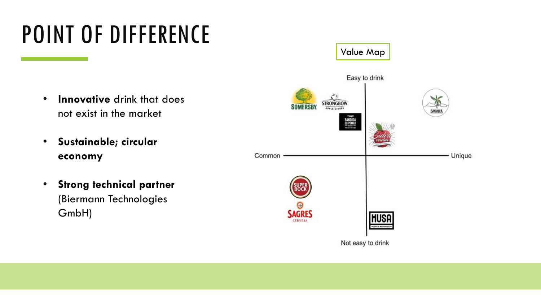## POINT OF DIFFERENCE

- **Innovative** drink that does not exist in the market
- **Sustainable; circular economy**
- **Strong technical partner** (Biermann Technologies GmbH)

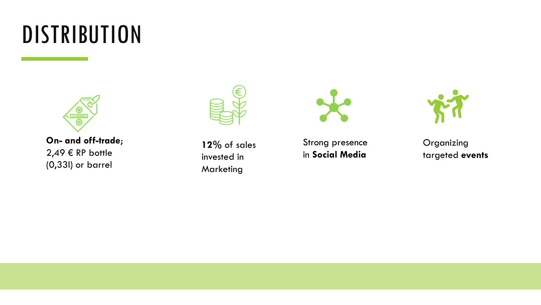### DISTRIBUTION



**On- and off-trade**;  $2,49 \in \mathbb{RP}$  bottle (0,33l) or barrel



**12%** of sales invested in **Marketing** 



Strong presence in **Social Media**



Organizing targeted **events**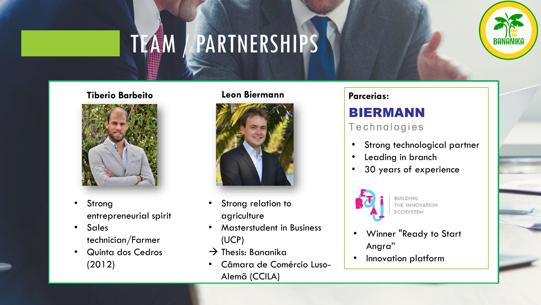### TEAM / PARTNERSHIPS

#### **Tiberio Barbeito Leon Biermann** Parcerias:



- Strong entrepreneurial spirit
- Sales technician/Farmer
- Quinta dos Cedros (2012)

#### **Leon Biermann**



- Strong relation to agriculture
- Masterstudent in Business (UCP)
- $\rightarrow$  Thesis: Bananika
- Câmara de Comércio Luso-Alemã (CCILA)

#### **BIERMANN** Technologies

Strong technological partner

**BANANI** 

- Leading in branch
- 30 years of experience



**BUILDING** THE INNOVATION ECOSYSTEM

- Winner "Ready to Start Angra"
- Innovation platform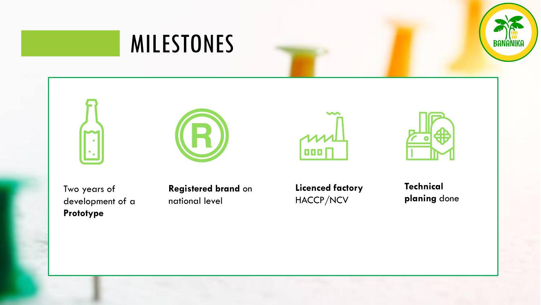











Two years of development of a **Prototype**

**Registered brand** on national level

**Licenced factory** HACCP/NCV

**Technical planing** done